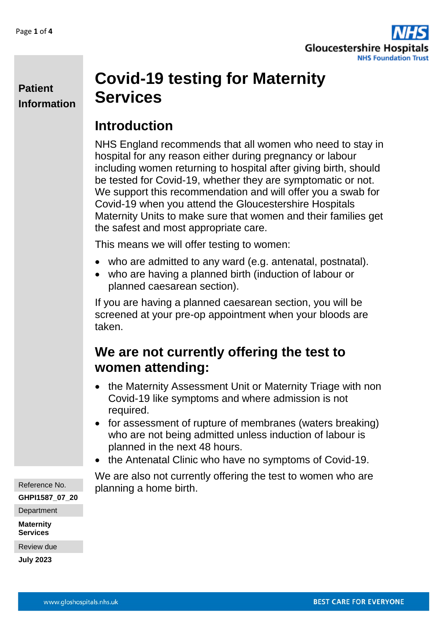

#### **Patient Information**

# **Covid-19 testing for Maternity Services**

#### **Introduction**

NHS England recommends that all women who need to stay in hospital for any reason either during pregnancy or labour including women returning to hospital after giving birth, should be tested for Covid-19, whether they are symptomatic or not. We support this recommendation and will offer you a swab for Covid-19 when you attend the Gloucestershire Hospitals Maternity Units to make sure that women and their families get the safest and most appropriate care.

This means we will offer testing to women:

- who are admitted to any ward (e.g. antenatal, postnatal).
- who are having a planned birth (induction of labour or planned caesarean section).

If you are having a planned caesarean section, you will be screened at your pre-op appointment when your bloods are taken.

### **We are not currently offering the test to women attending:**

- the Maternity Assessment Unit or Maternity Triage with non Covid-19 like symptoms and where admission is not required.
- for assessment of rupture of membranes (waters breaking) who are not being admitted unless induction of labour is planned in the next 48 hours.
- the Antenatal Clinic who have no symptoms of Covid-19.

We are also not currently offering the test to women who are planning a home birth.

Reference No. **GHPI1587\_07\_20 Department** 

**Maternity Services**

Review due

**July 2023**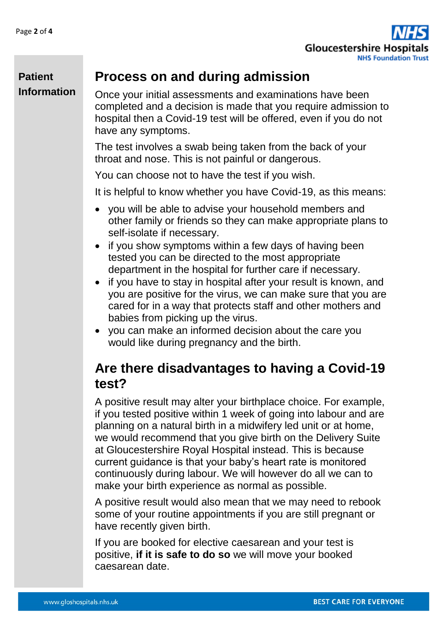

#### **Process on and during admission**

**Patient Information**

Once your initial assessments and examinations have been completed and a decision is made that you require admission to hospital then a Covid-19 test will be offered, even if you do not have any symptoms.

The test involves a swab being taken from the back of your throat and nose. This is not painful or dangerous.

You can choose not to have the test if you wish.

It is helpful to know whether you have Covid-19, as this means:

- you will be able to advise your household members and other family or friends so they can make appropriate plans to self-isolate if necessary.
- if you show symptoms within a few days of having been tested you can be directed to the most appropriate department in the hospital for further care if necessary.
- if you have to stay in hospital after your result is known, and you are positive for the virus, we can make sure that you are cared for in a way that protects staff and other mothers and babies from picking up the virus.
- vou can make an informed decision about the care you would like during pregnancy and the birth.

#### **Are there disadvantages to having a Covid-19 test?**

A positive result may alter your birthplace choice. For example, if you tested positive within 1 week of going into labour and are planning on a natural birth in a midwifery led unit or at home, we would recommend that you give birth on the Delivery Suite at Gloucestershire Royal Hospital instead. This is because current guidance is that your baby's heart rate is monitored continuously during labour. We will however do all we can to make your birth experience as normal as possible.

A positive result would also mean that we may need to rebook some of your routine appointments if you are still pregnant or have recently given birth.

If you are booked for elective caesarean and your test is positive, **if it is safe to do so** we will move your booked caesarean date.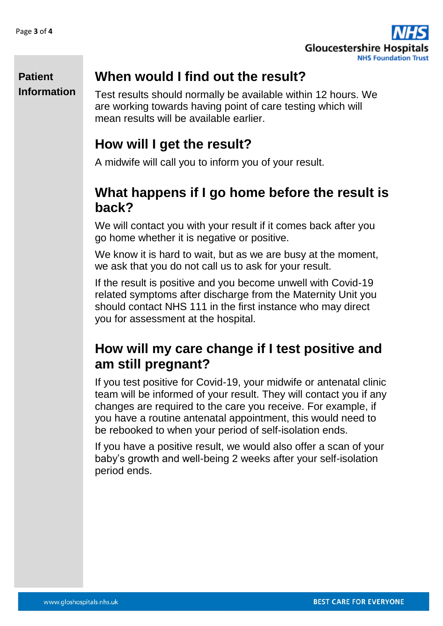

#### **Patient Information**

#### **When would I find out the result?**

Test results should normally be available within 12 hours. We are working towards having point of care testing which will mean results will be available earlier.

## **How will I get the result?**

A midwife will call you to inform you of your result.

## **What happens if I go home before the result is back?**

We will contact you with your result if it comes back after you go home whether it is negative or positive.

We know it is hard to wait, but as we are busy at the moment, we ask that you do not call us to ask for your result.

If the result is positive and you become unwell with Covid-19 related symptoms after discharge from the Maternity Unit you should contact NHS 111 in the first instance who may direct you for assessment at the hospital.

### **How will my care change if I test positive and am still pregnant?**

If you test positive for Covid-19, your midwife or antenatal clinic team will be informed of your result. They will contact you if any changes are required to the care you receive. For example, if you have a routine antenatal appointment, this would need to be rebooked to when your period of self-isolation ends.

If you have a positive result, we would also offer a scan of your baby's growth and well-being 2 weeks after your self-isolation period ends.